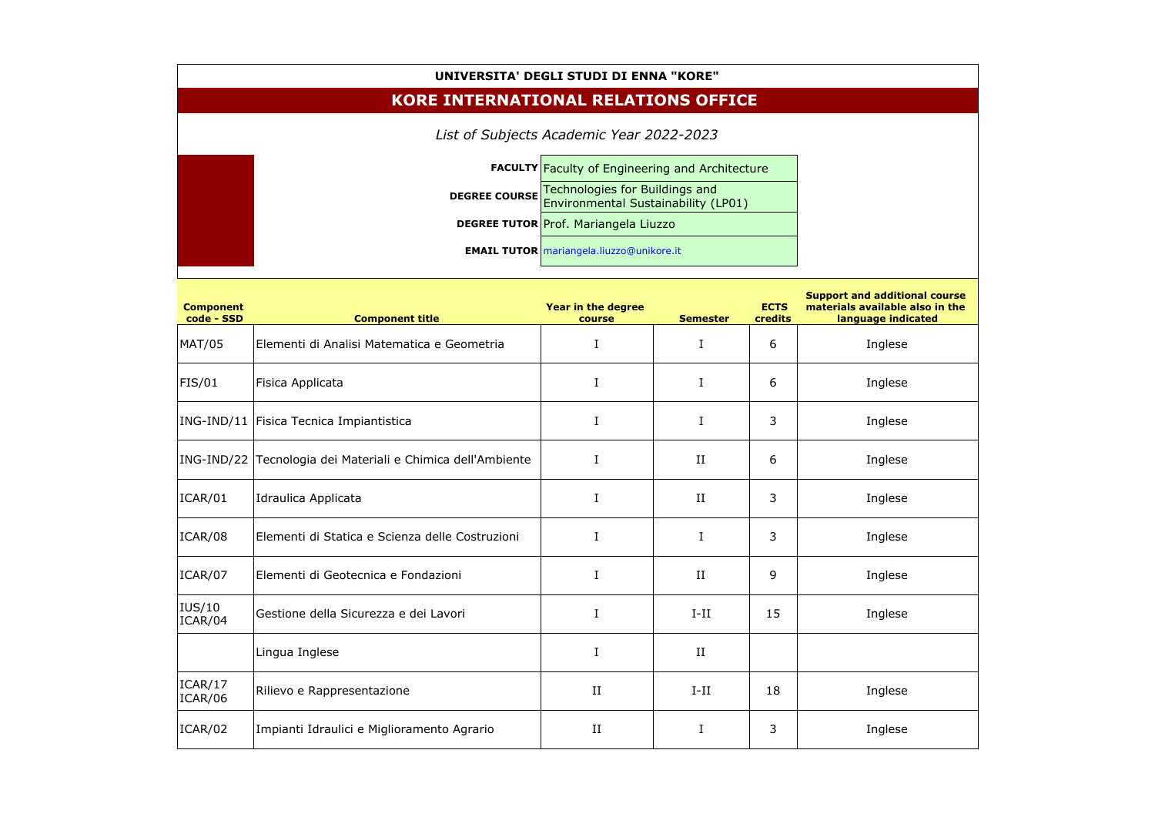## **UNIVERSITA' DEGLI STUDI DI ENNA "KORE"**

| UNIVERSITA' DEGLI STUDI DI ENNA "KORE"     |                                                                                                      |                                                 |                 |                        |                                                                                               |  |  |  |  |  |
|--------------------------------------------|------------------------------------------------------------------------------------------------------|-------------------------------------------------|-----------------|------------------------|-----------------------------------------------------------------------------------------------|--|--|--|--|--|
| <b>KORE INTERNATIONAL RELATIONS OFFICE</b> |                                                                                                      |                                                 |                 |                        |                                                                                               |  |  |  |  |  |
| List of Subjects Academic Year 2022-2023   |                                                                                                      |                                                 |                 |                        |                                                                                               |  |  |  |  |  |
|                                            | <b>FACULTY Faculty of Engineering and Architecture</b>                                               |                                                 |                 |                        |                                                                                               |  |  |  |  |  |
|                                            | Technologies for Buildings and<br><b>DEGREE COURSE</b><br><b>Environmental Sustainability (LP01)</b> |                                                 |                 |                        |                                                                                               |  |  |  |  |  |
|                                            |                                                                                                      | <b>DEGREE TUTOR Prof. Mariangela Liuzzo</b>     |                 |                        |                                                                                               |  |  |  |  |  |
|                                            |                                                                                                      | <b>EMAIL TUTOR</b> mariangela.liuzzo@unikore.it |                 |                        |                                                                                               |  |  |  |  |  |
| <b>Component</b><br>code - SSD             | <b>Component title</b>                                                                               | Year in the degree<br>course                    | <b>Semester</b> | <b>ECTS</b><br>credits | <b>Support and additional course</b><br>materials available also in the<br>language indicated |  |  |  |  |  |
| <b>MAT/05</b>                              | Elementi di Analisi Matematica e Geometria                                                           |                                                 | I               | 6                      | Inglese                                                                                       |  |  |  |  |  |
| FIS/01                                     | Fisica Applicata                                                                                     |                                                 | I               | 6                      | Inglese                                                                                       |  |  |  |  |  |
|                                            | ING-IND/11   Fisica Tecnica Impiantistica                                                            |                                                 | I               | 3                      | Inglese                                                                                       |  |  |  |  |  |
|                                            | ING-IND/22 Tecnologia dei Materiali e Chimica dell'Ambiente                                          | I                                               | II              | 6                      | Inglese                                                                                       |  |  |  |  |  |
| ICAR/01                                    | Idraulica Applicata                                                                                  |                                                 | $_{\rm II}$     | 3                      | Inglese                                                                                       |  |  |  |  |  |
| ICAR/08                                    | Elementi di Statica e Scienza delle Costruzioni                                                      | I                                               | $\bf{I}$        | 3                      | Inglese                                                                                       |  |  |  |  |  |
| ICAR/07                                    | Elementi di Geotecnica e Fondazioni                                                                  | I                                               | $_{\rm II}$     | 9                      | Inglese                                                                                       |  |  |  |  |  |
| IUS/10<br>ICAR/04                          | Gestione della Sicurezza e dei Lavori                                                                | I                                               | $I-II$          | 15                     | Inglese                                                                                       |  |  |  |  |  |
|                                            | Lingua Inglese                                                                                       | I                                               | II              |                        |                                                                                               |  |  |  |  |  |
| ICAR/17<br>ICAR/06                         | Rilievo e Rappresentazione                                                                           | $_{\rm II}$                                     | $I-II$          | 18                     | Inglese                                                                                       |  |  |  |  |  |
| ICAR/02                                    | Impianti Idraulici e Miglioramento Agrario                                                           | II                                              | I               | 3                      | Inglese                                                                                       |  |  |  |  |  |